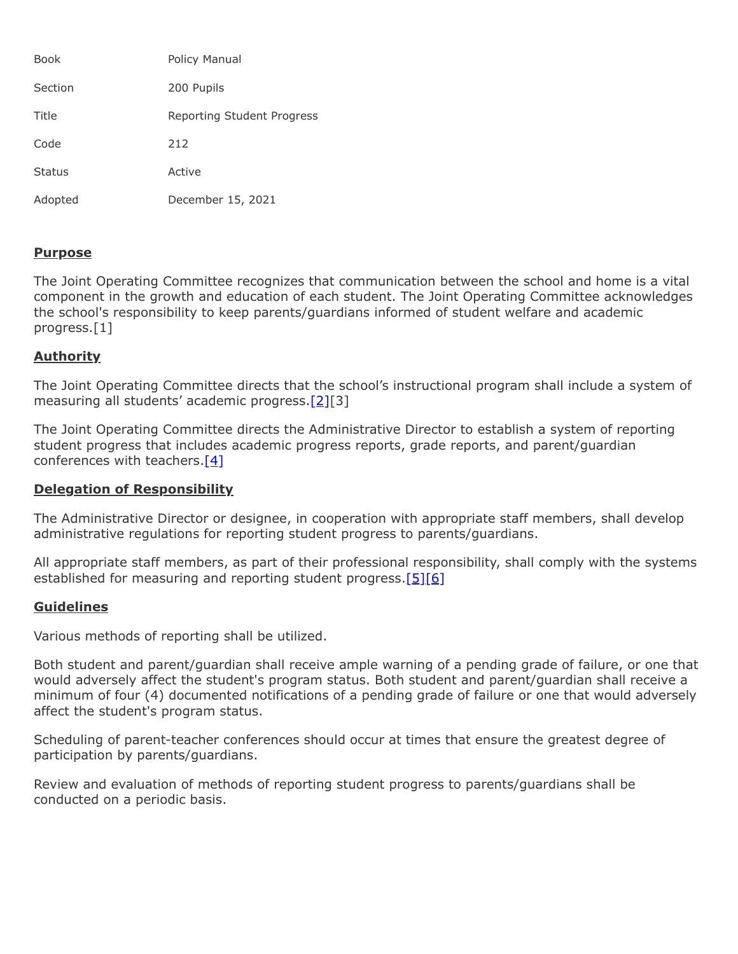| <b>Book</b>   | Policy Manual              |
|---------------|----------------------------|
| Section       | 200 Pupils                 |
| Title         | Reporting Student Progress |
| Code          | 212                        |
| <b>Status</b> | Active                     |
| Adopted       | December 15, 2021          |

## **Purpose**

The Joint Operating Committee recognizes that communication between the school and home is a vital component in the growth and education of each student. The Joint Operating Committee acknowledges the school's responsibility to keep parents/guardians informed of student welfare and academic progress.[1]

## **Authority**

The Joint Operating Committee directs that the school's instructional program shall include a system of measuring all students' academic progress.[\[2\]](http://pacodeandbulletin.gov/Display/pacode?file=/secure/pacode/data/022/chapter4/s4.11.html&d=reduce)[3]

The Joint Operating Committee directs the Administrative Director to establish a system of reporting student progress that includes academic progress reports, grade reports, and parent/guardian conferences with teachers. $[4]$ 

## **Delegation of Responsibility**

The Administrative Director or designee, in cooperation with appropriate staff members, shall develop administrative regulations for reporting student progress to parents/guardians.

All appropriate staff members, as part of their professional responsibility, shall comply with the systems established for measuring and reporting student progress.[\[5\]](http://www.legis.state.pa.us/cfdocs/legis/LI/uconsCheck.cfm?txtType=HTM&yr=1949&sessInd=0&smthLwInd=0&act=14&chpt=15&sctn=31&subsctn=0)[\[6\]](http://www.legis.state.pa.us/cfdocs/legis/LI/uconsCheck.cfm?txtType=HTM&yr=1949&sessInd=0&smthLwInd=0&act=14&chpt=15&sctn=32&subsctn=0)

## **Guidelines**

Various methods of reporting shall be utilized.

Both student and parent/guardian shall receive ample warning of a pending grade of failure, or one that would adversely affect the student's program status. Both student and parent/guardian shall receive a minimum of four (4) documented notifications of a pending grade of failure or one that would adversely affect the student's program status.

Scheduling of parent-teacher conferences should occur at times that ensure the greatest degree of participation by parents/guardians.

Review and evaluation of methods of reporting student progress to parents/guardians shall be conducted on a periodic basis.